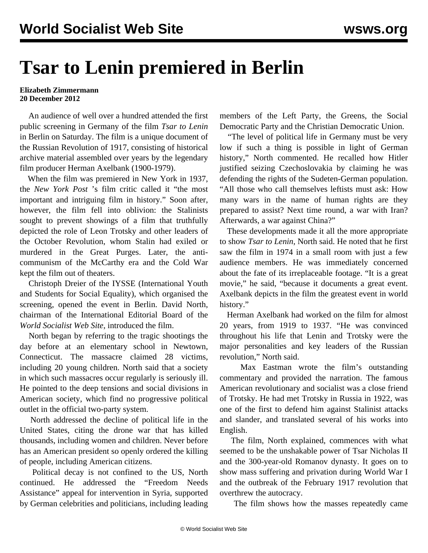## **Tsar to Lenin premiered in Berlin**

## **Elizabeth Zimmermann 20 December 2012**

 An audience of well over a hundred attended the first public screening in Germany of the film *Tsar to Lenin* in Berlin on Saturday. The film is a unique document of the Russian Revolution of 1917, consisting of historical archive material assembled over years by the legendary film producer Herman Axelbank (1900-1979).

 When the film was premiered in New York in 1937, the *New York Post* 's film critic called it "the most important and intriguing film in history." Soon after, however, the film fell into oblivion: the Stalinists sought to prevent showings of a film that truthfully depicted the role of Leon Trotsky and other leaders of the October Revolution, whom Stalin had exiled or murdered in the Great Purges. Later, the anticommunism of the McCarthy era and the Cold War kept the film out of theaters.

 Christoph Dreier of the IYSSE (International Youth and Students for Social Equality), which organised the screening, opened the event in Berlin. David North, chairman of the International Editorial Board of the *World Socialist Web Site*, introduced the film.

 North began by referring to the tragic shootings the day before at an elementary school in Newtown, Connecticut. The massacre claimed 28 victims, including 20 young children. North said that a society in which such massacres occur regularly is seriously ill. He pointed to the deep tensions and social divisions in American society, which find no progressive political outlet in the official two-party system.

 North addressed the decline of political life in the United States, citing the drone war that has killed thousands, including women and children. Never before has an American president so openly ordered the killing of people, including American citizens.

 Political decay is not confined to the US, North continued. He addressed the "Freedom Needs Assistance" appeal for intervention in Syria, supported by German celebrities and politicians, including leading members of the Left Party, the Greens, the Social Democratic Party and the Christian Democratic Union.

 "The level of political life in Germany must be very low if such a thing is possible in light of German history," North commented. He recalled how Hitler justified seizing Czechoslovakia by claiming he was defending the rights of the Sudeten-German population. "All those who call themselves leftists must ask: How many wars in the name of human rights are they prepared to assist? Next time round, a war with Iran? Afterwards, a war against China?"

 These developments made it all the more appropriate to show *Tsar to Lenin*, North said. He noted that he first saw the film in 1974 in a small room with just a few audience members. He was immediately concerned about the fate of its irreplaceable footage. "It is a great movie," he said, "because it documents a great event. Axelbank depicts in the film the greatest event in world history."

 Herman Axelbank had worked on the film for almost 20 years, from 1919 to 1937. "He was convinced throughout his life that Lenin and Trotsky were the major personalities and key leaders of the Russian revolution," North said.

 Max Eastman wrote the film's outstanding commentary and provided the narration. The famous American revolutionary and socialist was a close friend of Trotsky. He had met Trotsky in Russia in 1922, was one of the first to defend him against Stalinist attacks and slander, and translated several of his works into English.

 The film, North explained, commences with what seemed to be the unshakable power of Tsar Nicholas II and the 300-year-old Romanov dynasty. It goes on to show mass suffering and privation during World War I and the outbreak of the February 1917 revolution that overthrew the autocracy.

The film shows how the masses repeatedly came